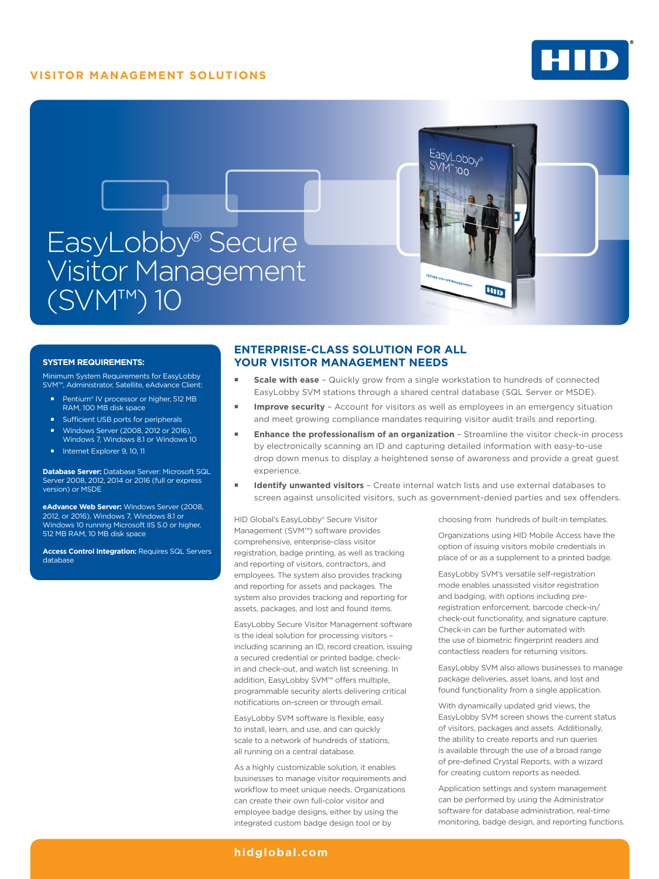## **VISITOR MANAGEMENT SOLUTIONS**





#### **SYSTEM REQUIREMENTS:**

Minimum System Requirements for EasyLobby SVM™, Administrator, Satellite, eAdvance Client:

- Pentium® IV processor or higher, 512 MB<br>RAM, 100 MB disk space
- Sufficient USB ports for peripherals
- Windows Server (2008, 2012 or 2016),
- Windows 7, Windows 8.1 or Windows 10 Internet Explorer 9, 10, 11

**Database Server:** Database Server: Microsoft SQL Server 2008, 2012, 2014 or 2016 (full or express version) or MSDE

**eAdvance Web Server:** Windows Server (2008, 2012, or 2016), Windows 7, Windows 8.1 or Windows 10 running Microsoft IIS 5.0 or higher, 512 MB RAM, 10 MB disk space

**Access Control Integration: Requires SQL Servers** database

## **ENTERPRISE-CLASS SOLUTION FOR ALL YOUR VISITOR MANAGEMENT NEEDS**

- **Scale with ease** Quickly grow from a single workstation to hundreds of connected EasyLobby SVM stations through a shared central database (SQL Server or MSDE).
- **Improve security** Account for visitors as well as employees in an emergency situation and meet growing compliance mandates requiring visitor audit trails and reporting.
- **Enhance the professionalism of an organization**  Streamline the visitor check-in process by electronically scanning an ID and capturing detailed information with easy-to-use drop down menus to display a heightened sense of awareness and provide a great guest experience.
- **Identify unwanted visitors**  Create internal watch lists and use external databases to screen against unsolicited visitors, such as government-denied parties and sex offenders.

HID Global's EasyLobby® Secure Visitor Management (SVM™) software provides comprehensive, enterprise-class visitor registration, badge printing, as well as tracking and reporting of visitors, contractors, and employees. The system also provides tracking and reporting for assets and packages. The system also provides tracking and reporting for assets, packages, and lost and found items.

EasyLobby Secure Visitor Management software is the ideal solution for processing visitors – including scanning an ID, record creation, issuing a secured credential or printed badge, checkin and check-out, and watch list screening. In addition, EasyLobby SVM™ offers multiple, programmable security alerts delivering critical notifications on-screen or through email.

EasyLobby SVM software is flexible, easy to install, learn, and use, and can quickly scale to a network of hundreds of stations, all running on a central database.

As a highly customizable solution, it enables businesses to manage visitor requirements and workflow to meet unique needs. Organizations can create their own full-color visitor and employee badge designs, either by using the integrated custom badge design tool or by

choosing from hundreds of built-in templates.

Organizations using HID Mobile Access have the option of issuing visitors mobile credentials in place of or as a supplement to a printed badge.

EasyLobby SVM's versatile self-registration mode enables unassisted visitor registration and badging, with options including preregistration enforcement, barcode check-in/ check-out functionality, and signature capture. Check-in can be further automated with the use of biometric fingerprint readers and contactless readers for returning visitors.

EasyLobby SVM also allows businesses to manage package deliveries, asset loans, and lost and found functionality from a single application.

With dynamically updated grid views, the EasyLobby SVM screen shows the current status of visitors, packages and assets. Additionally, the ability to create reports and run queries is available through the use of a broad range of pre-defined Crystal Reports, with a wizard for creating custom reports as needed.

Application settings and system management can be performed by using the Administrator software for database administration, real-time monitoring, badge design, and reporting functions.

## **[hidglobal.com](http://www.hidglobal.com)**